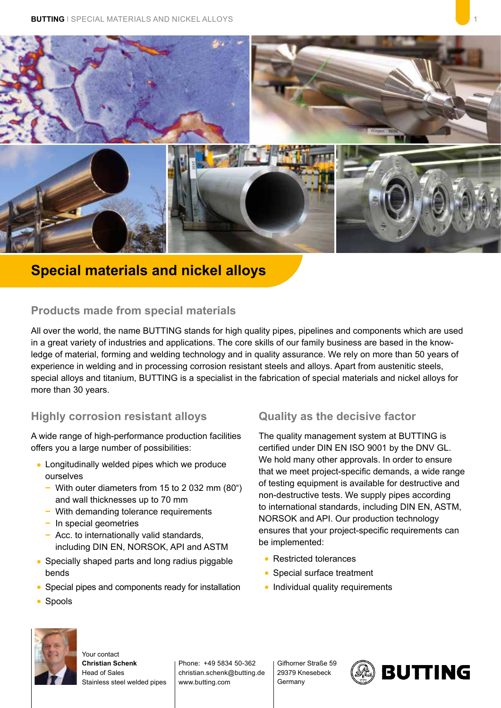

# **Special materials and nickel alloys**

#### **Products made from special materials**

All over the world, the name BUTTING stands for high quality pipes, pipelines and components which are used in a great variety of industries and applications. The core skills of our family business are based in the knowledge of material, forming and welding technology and in quality assurance. We rely on more than 50 years of experience in welding and in processing corrosion resistant steels and alloys. Apart from austenitic steels, special alloys and titanium, BUTTING is a specialist in the fabrication of special materials and nickel alloys for more than 30 years.

## **Highly corrosion resistant alloys**

A wide range of high-performance production facilities offers you a large number of possibilities:

- **•** Longitudinally welded pipes which we produce ourselves
	- **−** With outer diameters from 15 to 2 032 mm (80") and wall thicknesses up to 70 mm
	- **−** With demanding tolerance requirements
	- **−** In special geometries
	- **−** Acc. to internationally valid standards, including DIN EN, NORSOK, API and ASTM
- **•** Specially shaped parts and long radius piggable bends
- **•** Special pipes and components ready for installation

## **Quality as the decisive factor**

The quality management system at BUTTING is certified under DIN EN ISO 9001 by the DNV GL. We hold many other approvals. In order to ensure that we meet project-specific demands, a wide range of testing equipment is available for destructive and non-destructive tests. We supply pipes according to international standards, including DIN EN, ASTM, NORSOK and API. Our production technology ensures that your project-specific requirements can be implemented:

- **•** Restricted tolerances
- **•** Special surface treatment
- **•** Individual quality requirements



**•** Spools

Your contact **Christian Schenk** Head of Sales Stainless steel welded pipes

Phone: +49 5834 50-362 christian.schenk@butting.de www.butting.com

Gifhorner Straße 59 29379 Knesebeck Germany

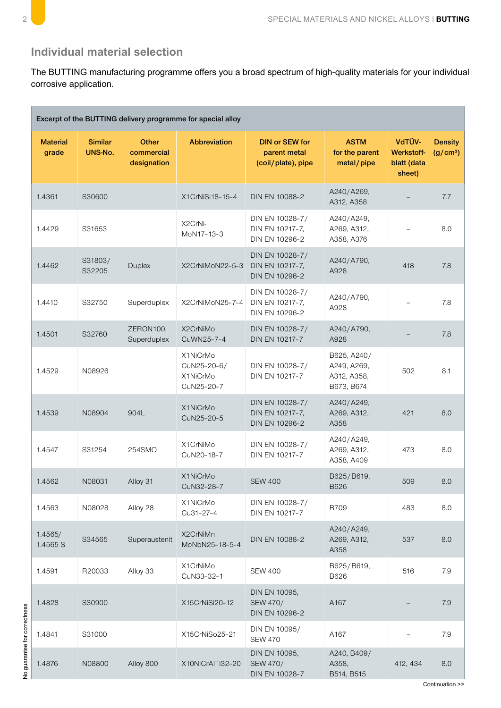

## **Individual material selection**

corrosive application. The BUTTING manufacturing programme offers you a broad spectrum of high-quality materials for your individual corrosive application.

| Excerpt of the BUTTING delivery programme for special alloy |                           |                                           |                                                   |                                                             |                                                         |                                                      |                                        |  |  |  |  |  |
|-------------------------------------------------------------|---------------------------|-------------------------------------------|---------------------------------------------------|-------------------------------------------------------------|---------------------------------------------------------|------------------------------------------------------|----------------------------------------|--|--|--|--|--|
| <b>Material</b><br>grade                                    | <b>Similar</b><br>UNS-No. | <b>Other</b><br>commercial<br>designation | Abbreviation                                      | <b>DIN or SEW for</b><br>parent metal<br>(coil/plate), pipe | <b>ASTM</b><br>for the parent<br>metal/pipe             | VdTÜV-<br><b>Werkstoff-</b><br>blatt (data<br>sheet) | <b>Density</b><br>(g/cm <sup>3</sup> ) |  |  |  |  |  |
| 1.4361                                                      | S30600                    |                                           | X1CrNiSi18-15-4                                   | DIN EN 10088-2                                              | A240/A269,<br>A312, A358                                |                                                      | 7.7                                    |  |  |  |  |  |
| 1.4429                                                      | S31653                    |                                           | X2CrNi-<br>MoN17-13-3                             | DIN EN 10028-7/<br>DIN EN 10217-7,<br>DIN EN 10296-2        | A240/A249,<br>A269, A312,<br>A358, A376                 |                                                      | 8.0                                    |  |  |  |  |  |
| 1.4462                                                      | S31803/<br>S32205         | Duplex                                    | X2CrNiMoN22-5-3                                   | DIN EN 10028-7/<br>DIN EN 10217-7,<br>DIN EN 10296-2        | A240/A790,<br>A928                                      | 418                                                  | 7.8                                    |  |  |  |  |  |
| 1.4410                                                      | S32750                    | Superduplex                               | X2CrNiMoN25-7-4                                   | DIN EN 10028-7/<br>DIN EN 10217-7,<br>DIN EN 10296-2        | A240/A790,<br>A928                                      |                                                      | 7.8                                    |  |  |  |  |  |
| 1.4501                                                      | S32760                    | ZERON100,<br>Superduplex                  | X2CrNiMo<br>CuWN25-7-4                            | DIN EN 10028-7/<br>DIN EN 10217-7                           | A240/A790,<br>A928                                      |                                                      | 7.8                                    |  |  |  |  |  |
| 1.4529                                                      | N08926                    |                                           | X1NiCrMo<br>CuN25-20-6/<br>X1NiCrMo<br>CuN25-20-7 | DIN EN 10028-7/<br>DIN EN 10217-7                           | B625, A240/<br>A249, A269,<br>A312, A358,<br>B673, B674 | 502                                                  | 8.1                                    |  |  |  |  |  |
| 1.4539                                                      | N08904                    | 904L                                      | X1NiCrMo<br>CuN25-20-5                            | DIN EN 10028-7/<br>DIN EN 10217-7,<br>DIN EN 10296-2        | A240/A249,<br>A269, A312,<br>A358                       | 421                                                  | 8.0                                    |  |  |  |  |  |
| 1.4547                                                      | S31254                    | 254SMO                                    | X1CrNiMo<br>CuN20-18-7                            | DIN EN 10028-7/<br>DIN EN 10217-7                           | A240/A249,<br>A269, A312,<br>A358, A409                 | 473                                                  | 8.0                                    |  |  |  |  |  |
| 1.4562                                                      | N08031                    | Alloy 31                                  | X1NiCrMo<br>CuN32-28-7                            | <b>SEW 400</b>                                              | B625/B619,<br>B626                                      | 509                                                  | 8.0                                    |  |  |  |  |  |
| 1.4563                                                      | N08028                    | Alloy 28                                  | X1NiCrMo<br>Cu31-27-4                             | DIN EN 10028-7/<br>DIN EN 10217-7                           | <b>B709</b>                                             | 483                                                  | 8.0                                    |  |  |  |  |  |
| 1.4565/<br>1.4565 S                                         | S34565                    | Superaustenit                             | X2CrNiMn<br>MoNbN25-18-5-4                        | DIN EN 10088-2                                              | A240/A249,<br>A269, A312,<br>A358                       | 537                                                  | 8.0                                    |  |  |  |  |  |
| 1.4591                                                      | R20033                    | Alloy 33                                  | X1CrNiMo<br>CuN33-32-1                            | <b>SEW 400</b>                                              | B625/B619,<br>B626                                      | 516                                                  | 7.9                                    |  |  |  |  |  |
| 1.4828                                                      | S30900                    |                                           | X15CrNiSi20-12                                    | DIN EN 10095,<br>SEW 470/<br>DIN EN 10296-2                 | A167                                                    |                                                      | 7.9                                    |  |  |  |  |  |
| 1.4841                                                      | S31000                    |                                           | X15CrNiSo25-21                                    | DIN EN 10095/<br><b>SEW 470</b>                             | A167                                                    |                                                      | 7.9                                    |  |  |  |  |  |
| 1.4876                                                      | N08800                    | Alloy 800                                 | X10NiCrAlTi32-20                                  | DIN EN 10095,<br>SEW 470/<br>DIN EN 10028-7                 | A240, B409/<br>A358,<br>B514, B515                      | 412, 434                                             | 8.0                                    |  |  |  |  |  |

Continuation > Continuation >>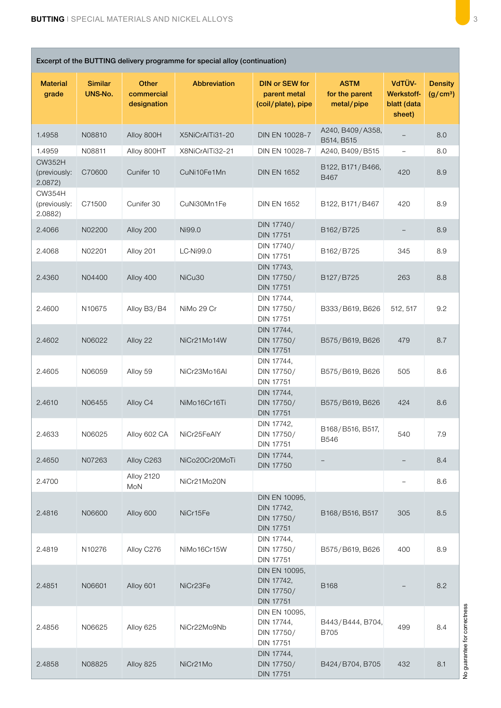Г

н

| Excerpt of the BUTTING delivery programme for special alloy (continuation) |                           |                                           |                  |                                                               |                                             |                                                      |                                        |  |  |  |  |
|----------------------------------------------------------------------------|---------------------------|-------------------------------------------|------------------|---------------------------------------------------------------|---------------------------------------------|------------------------------------------------------|----------------------------------------|--|--|--|--|
| <b>Material</b><br>grade                                                   | <b>Similar</b><br>UNS-No. | <b>Other</b><br>commercial<br>designation | Abbreviation     | <b>DIN or SEW for</b><br>parent metal<br>(coil/plate), pipe   | <b>ASTM</b><br>for the parent<br>metal/pipe | VdTÜV-<br><b>Werkstoff-</b><br>blatt (data<br>sheet) | <b>Density</b><br>(g/cm <sup>3</sup> ) |  |  |  |  |
| 1.4958                                                                     | N08810                    | Alloy 800H                                | X5NiCrAlTi31-20  | DIN EN 10028-7                                                | A240, B409/A358,<br>B514, B515              |                                                      | 8.0                                    |  |  |  |  |
| 1.4959                                                                     | N08811                    | Alloy 800HT                               | X8NiCrAlTi32-21  | DIN EN 10028-7                                                | A240, B409/B515                             | $\overline{\phantom{a}}$                             | 8.0                                    |  |  |  |  |
| <b>CW352H</b><br>(previously:<br>2.0872)                                   | C70600                    | Cunifer 10                                | CuNi10Fe1Mn      | <b>DIN EN 1652</b>                                            | B122, B171/B466,<br>B467                    | 420                                                  | 8.9                                    |  |  |  |  |
| <b>CW354H</b><br>(previously:<br>2.0882)                                   | C71500                    | Cunifer 30                                | CuNi30Mn1Fe      | <b>DIN EN 1652</b>                                            | B122, B171/B467                             | 420                                                  | 8.9                                    |  |  |  |  |
| 2.4066                                                                     | N02200                    | Alloy 200                                 | Ni99.0           | DIN 17740/<br><b>DIN 17751</b>                                | B162/B725                                   |                                                      | 8.9                                    |  |  |  |  |
| 2.4068                                                                     | N02201                    | Alloy 201                                 | <b>LC-Ni99.0</b> | DIN 17740/<br><b>DIN 17751</b>                                | B162/B725                                   | 345                                                  | 8.9                                    |  |  |  |  |
| 2.4360                                                                     | N04400                    | Alloy 400                                 | NiCu30           | DIN 17743,<br>DIN 17750/<br><b>DIN 17751</b>                  | B127/B725                                   | 263                                                  | 8.8                                    |  |  |  |  |
| 2.4600                                                                     | N10675                    | Alloy B3/B4                               | NiMo 29 Cr       | DIN 17744,<br>DIN 17750/<br><b>DIN 17751</b>                  | B333/B619, B626                             | 512, 517                                             | 9.2                                    |  |  |  |  |
| 2.4602                                                                     | N06022                    | Alloy 22                                  | NiCr21Mo14W      | DIN 17744,<br>DIN 17750/<br><b>DIN 17751</b>                  | B575/B619, B626                             | 479                                                  | 8.7                                    |  |  |  |  |
| 2.4605                                                                     | N06059                    | Alloy 59                                  | NiCr23Mo16Al     | DIN 17744,<br>DIN 17750/<br><b>DIN 17751</b>                  | B575/B619, B626                             | 505                                                  | 8.6                                    |  |  |  |  |
| 2.4610                                                                     | N06455                    | Alloy C4                                  | NiMo16Cr16Ti     | DIN 17744,<br>DIN 17750/<br><b>DIN 17751</b>                  | B575/B619, B626                             | 424                                                  | 8.6                                    |  |  |  |  |
| 2.4633                                                                     | N06025                    | Alloy 602 CA                              | NiCr25FeAlY      | DIN 17742,<br>DIN 17750/<br><b>DIN 17751</b>                  | B168/B516, B517,<br><b>B546</b>             | 540                                                  | 7.9                                    |  |  |  |  |
| 2.4650                                                                     | N07263                    | Alloy C263                                | NiCo20Cr20MoTi   | DIN 17744,<br><b>DIN 17750</b>                                |                                             |                                                      | 8.4                                    |  |  |  |  |
| 2.4700                                                                     |                           | <b>Alloy 2120</b><br>MoN                  | NiCr21Mo20N      |                                                               |                                             | $\overline{\phantom{a}}$                             | 8.6                                    |  |  |  |  |
| 2.4816                                                                     | N06600                    | Alloy 600                                 | NiCr15Fe         | DIN EN 10095,<br>DIN 17742,<br>DIN 17750/<br><b>DIN 17751</b> | B168/B516, B517                             | 305                                                  | 8.5                                    |  |  |  |  |
| 2.4819                                                                     | N10276                    | Alloy C276                                | NiMo16Cr15W      | DIN 17744,<br>DIN 17750/<br><b>DIN 17751</b>                  | B575/B619, B626                             | 400                                                  | 8.9                                    |  |  |  |  |
| 2.4851                                                                     | N06601                    | Alloy 601                                 | NiCr23Fe         | DIN EN 10095,<br>DIN 17742,<br>DIN 17750/<br><b>DIN 17751</b> | B168                                        |                                                      | 8.2                                    |  |  |  |  |
| 2.4856                                                                     | N06625                    | Alloy 625                                 | NiCr22Mo9Nb      | DIN EN 10095,<br>DIN 17744,<br>DIN 17750/<br><b>DIN 17751</b> | B443/B444, B704,<br><b>B705</b>             | 499                                                  | 8.4                                    |  |  |  |  |
| 2.4858                                                                     | N08825                    | Alloy 825                                 | NiCr21Mo         | DIN 17744,<br>DIN 17750/<br><b>DIN 17751</b>                  | B424/B704, B705                             | 432                                                  | 8.1                                    |  |  |  |  |